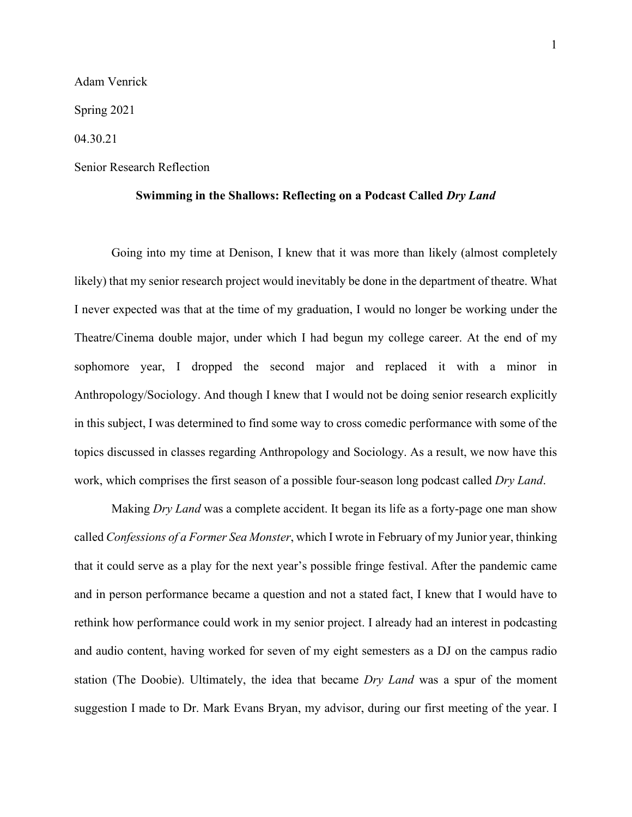Adam Venrick

Spring 2021

04.30.21

## Senior Research Reflection

## **Swimming in the Shallows: Reflecting on a Podcast Called** *Dry Land*

Going into my time at Denison, I knew that it was more than likely (almost completely likely) that my senior research project would inevitably be done in the department of theatre. What I never expected was that at the time of my graduation, I would no longer be working under the Theatre/Cinema double major, under which I had begun my college career. At the end of my sophomore year, I dropped the second major and replaced it with a minor in Anthropology/Sociology. And though I knew that I would not be doing senior research explicitly in this subject, I was determined to find some way to cross comedic performance with some of the topics discussed in classes regarding Anthropology and Sociology. As a result, we now have this work, which comprises the first season of a possible four-season long podcast called *Dry Land*.

Making *Dry Land* was a complete accident. It began its life as a forty-page one man show called *Confessions of a Former Sea Monster*, which I wrote in February of my Junior year, thinking that it could serve as a play for the next year's possible fringe festival. After the pandemic came and in person performance became a question and not a stated fact, I knew that I would have to rethink how performance could work in my senior project. I already had an interest in podcasting and audio content, having worked for seven of my eight semesters as a DJ on the campus radio station (The Doobie). Ultimately, the idea that became *Dry Land* was a spur of the moment suggestion I made to Dr. Mark Evans Bryan, my advisor, during our first meeting of the year. I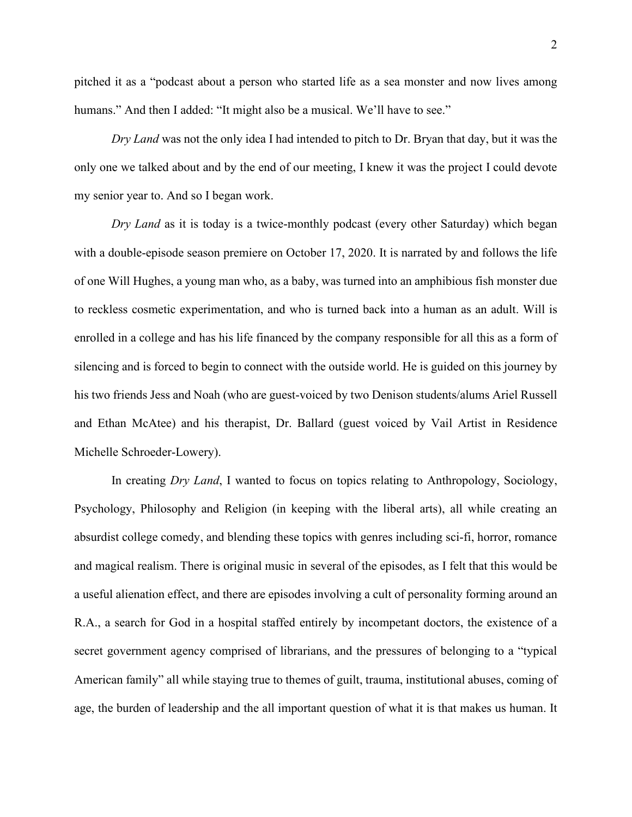pitched it as a "podcast about a person who started life as a sea monster and now lives among humans." And then I added: "It might also be a musical. We'll have to see."

*Dry Land* was not the only idea I had intended to pitch to Dr. Bryan that day, but it was the only one we talked about and by the end of our meeting, I knew it was the project I could devote my senior year to. And so I began work.

*Dry Land* as it is today is a twice-monthly podcast (every other Saturday) which began with a double-episode season premiere on October 17, 2020. It is narrated by and follows the life of one Will Hughes, a young man who, as a baby, was turned into an amphibious fish monster due to reckless cosmetic experimentation, and who is turned back into a human as an adult. Will is enrolled in a college and has his life financed by the company responsible for all this as a form of silencing and is forced to begin to connect with the outside world. He is guided on this journey by his two friends Jess and Noah (who are guest-voiced by two Denison students/alums Ariel Russell and Ethan McAtee) and his therapist, Dr. Ballard (guest voiced by Vail Artist in Residence Michelle Schroeder-Lowery).

In creating *Dry Land*, I wanted to focus on topics relating to Anthropology, Sociology, Psychology, Philosophy and Religion (in keeping with the liberal arts), all while creating an absurdist college comedy, and blending these topics with genres including sci-fi, horror, romance and magical realism. There is original music in several of the episodes, as I felt that this would be a useful alienation effect, and there are episodes involving a cult of personality forming around an R.A., a search for God in a hospital staffed entirely by incompetant doctors, the existence of a secret government agency comprised of librarians, and the pressures of belonging to a "typical American family" all while staying true to themes of guilt, trauma, institutional abuses, coming of age, the burden of leadership and the all important question of what it is that makes us human. It